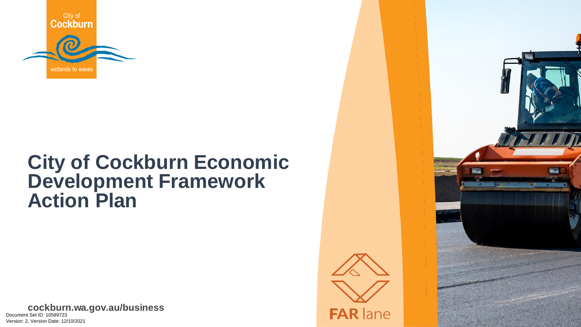

# **City of Cockburn Economic Development Framework Action Plan**

**cockburn.wa.gov.au cockburn.wa.gov.au/business** Document Set ID: 10589723<br>Version: 2. Version Date: 12/10/2021



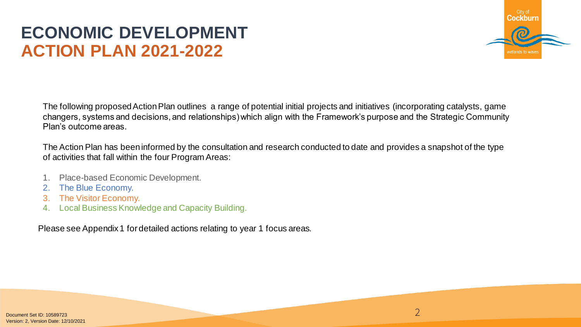# **ECONOMIC DEVELOPMENT ACTION PLAN 2021-2022**



2

The following proposed Action Plan outlines a range of potential initial projects and initiatives (incorporating catalysts, game changers, systems and decisions, and relationships) which align with the Framework's purpose and the Strategic Community Plan's outcome areas.

The Action Plan has been informed by the consultation and research conducted to date and provides a snapshot of the type of activities that fall within the four Program Areas:

- 1. Place-based Economic Development.
- 2. The Blue Economy.
- 3. The Visitor Economy.
- 4. Local Business Knowledge and Capacity Building.

Please see Appendix 1 for detailed actions relating to year 1 focus areas.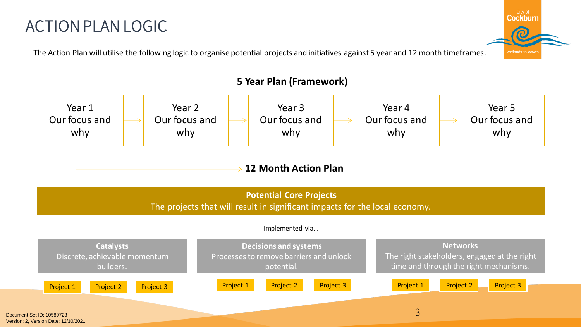# ACTION PLAN LOGIC

The Action Plan will utilise the following logic to organise potential projects and initiatives against 5 year and 12 month timeframes.









### **5 Year Plan (Framework)**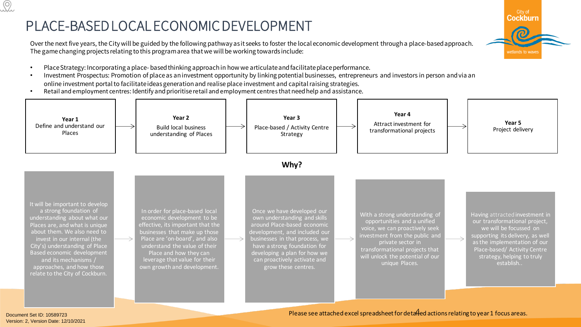### PLACE-BASED LOCAL ECONOMIC DEVELOPMENT

Over the next five years, the City will be guided by the following pathway as it seeks to foster the local economic development through a place-based approach. The game changing projects relating to this program area that we will be working towards include:



- Place Strategy: Incorporating a place- based thinking approach in how we articulate and facilitate place performance.
- Investment Prospectus: Promotion of place as an investment opportunity by linking potential businesses, entrepreneurs and investors in person and via an online investment portal to facilitate ideas generation and realise place investment and capital raising strategies.
- Retail and employment centres: Identify and prioritise retail and employment centresthat need help and assistance.



Document Set ID: 10589723<br>Version: 2. Version Date: 12/10/2021

Please see attached excel spreadsheet for deta $\overline{4}$ ed actions relating to year 1 focus areas.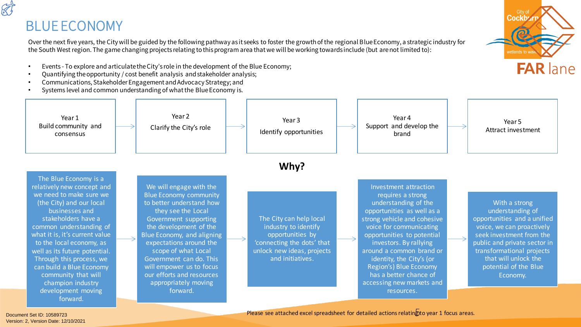### BLUE ECONOMY

S

Over the next five years, the City will be guided by the following pathway as it seeks to foster the growth of the regional BlueEconomy, a strategic industry for the South West region. The game changing projects relating to this program area that we will be working towards include (but arenot limited to):

- Events To explore and articulate the City's role in the development of the Blue Economy;
- Quantifying the opportunity / cost benefit analysis and stakeholder analysis;
- Communications, Stakeholder Engagement and Advocacy Strategy; and
- Systems level and common understanding of what the Blue Economy is.





Document Set ID: 10589723<br>Version: 2. Version Date: 12/10/2021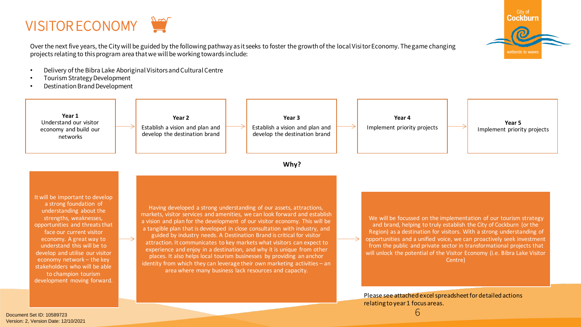



Over the next five years, the City will be guided by the following pathway as it seeks to foster the growth of the local Visitor Economy. The game changing projects relating to this program area that we will be working towards include:

- Delivery of the Bibra Lake Aboriginal Visitors and Cultural Centre
- Tourism Strategy Development
- Destination Brand Development



Please see attached excel spreadsheet for detailed actions relating to year 1 focus areas.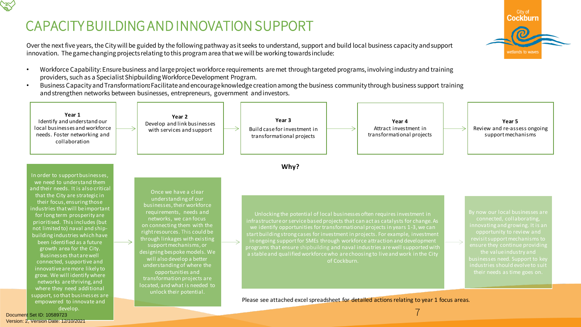### CAPACITY BUILDING AND INNOVATION SUPPORT

City of Cockburn vetlands to wav

Over the next five years, the City will be guided by the following pathway as it seeks to understand, support and build local business capacity and support innovation. The game changing projects relating to this program area that we will be working towards include:

- Workforce Capability: Ensure business and large project workforce requirements are met through targeted programs, involving industry and training providers, such as a Specialist Shipbuilding Workforce Development Program.
- Business Capacity and Transformation**:** Facilitate and encourage knowledge creation among the business community through business support training and strengthen networks between businesses, entrepreneurs, government and investors.



Document Set ID: 10589723<br>Version: 2, Version Date: 12/10/2021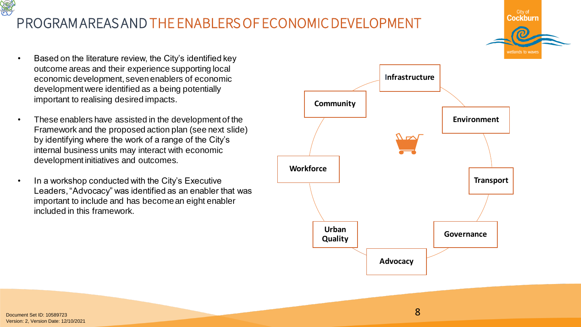# PROGRAM AREAS AND THE ENABLERS OF ECONOMIC DEVELOPMENT

- Based on the literature review, the City's identified key outcome areas and their experience supporting local economic development, seven enablers of economic development were identified as a being potentially important to realising desired impacts.
- These enablers have assisted in the development of the Framework and the proposed action plan (see next slide) by identifying where the work of a range of the City's internal business units may interact with economic development initiatives and outcomes.
- In a workshop conducted with the City's Executive Leaders, "Advocacy" was identified as an enabler that was important to include and has become an eight enabler included in this framework.



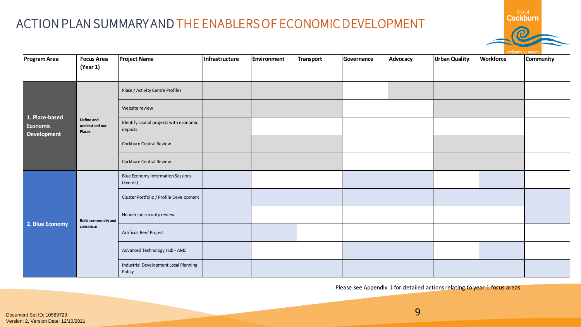### ACTION PLAN SUMMARY AND THE ENABLERS OF ECONOMIC DEVELOPMENT

| <b>Program Area</b>                                     | <b>Focus Area</b>                      | <b>Project Name</b>                                  | Infrastructure | <b>Environment</b> | <b>Transport</b> | Governance | Advocacy | Urban Quality | <b>Workforce</b> | Community |
|---------------------------------------------------------|----------------------------------------|------------------------------------------------------|----------------|--------------------|------------------|------------|----------|---------------|------------------|-----------|
|                                                         | (Year 1)                               |                                                      |                |                    |                  |            |          |               |                  |           |
|                                                         | Define and<br>understand our<br>Places | Place / Activity Centre Profiles                     |                |                    |                  |            |          |               |                  |           |
|                                                         |                                        | Website review                                       |                |                    |                  |            |          |               |                  |           |
| $\overline{1}$ . Place-based<br>Economic<br>Development |                                        | Identify capital projects with economic<br>impacts   |                |                    |                  |            |          |               |                  |           |
|                                                         |                                        | Cockburn Central Review                              |                |                    |                  |            |          |               |                  |           |
|                                                         |                                        | Cockburn Central Review                              |                |                    |                  |            |          |               |                  |           |
| 2. Blue Economy                                         |                                        | <b>Blue Economy Information Sessions</b><br>(Events) |                |                    |                  |            |          |               |                  |           |
|                                                         |                                        | Cluster Portfolio / Profile Development              |                |                    |                  |            |          |               |                  |           |
|                                                         | <b>Build community and</b>             | Henderson security review                            |                |                    |                  |            |          |               |                  |           |
|                                                         | consensus                              | Artificial Reef Project                              |                |                    |                  |            |          |               |                  |           |
|                                                         |                                        | Advanced Technology Hub - AMC                        |                |                    |                  |            |          |               |                  |           |
|                                                         |                                        | Industrial Development Local Planning<br>Policy      |                |                    |                  |            |          |               |                  |           |

Please see Appendix 1 for detailed actions relating to year 1 focus areas.

**Cockburn**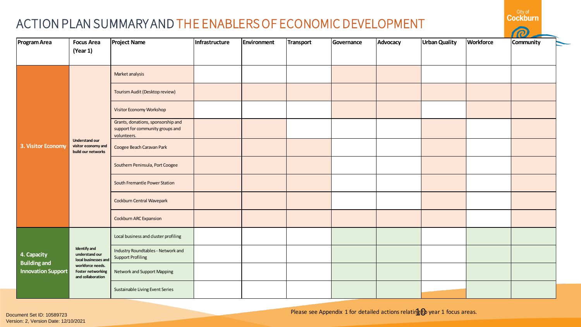### ACTION PLAN SUMMARY AND THE ENABLERS OF ECONOMIC DEVELOPMENT

| Program Area                                                    | <b>Focus Area</b><br>(Year 1)                                      | <b>Project Name</b>                                                                   | Infrastructure | Environment | Transport | Governance | Advocacy | <b>Urban Quality</b> | <b>Workforce</b> | Community |  |
|-----------------------------------------------------------------|--------------------------------------------------------------------|---------------------------------------------------------------------------------------|----------------|-------------|-----------|------------|----------|----------------------|------------------|-----------|--|
|                                                                 |                                                                    |                                                                                       |                |             |           |            |          |                      |                  |           |  |
| 3. Visitor Economy                                              |                                                                    | Market analysis                                                                       |                |             |           |            |          |                      |                  |           |  |
|                                                                 |                                                                    | Tourism Audit (Desktop review)                                                        |                |             |           |            |          |                      |                  |           |  |
|                                                                 |                                                                    | Visitor Economy Workshop                                                              |                |             |           |            |          |                      |                  |           |  |
|                                                                 |                                                                    | Grants, donations, sponsorship and<br>support for community groups and<br>volunteers. |                |             |           |            |          |                      |                  |           |  |
|                                                                 | <b>Understand our</b><br>visitor economy and<br>build our networks | Coogee Beach Caravan Park                                                             |                |             |           |            |          |                      |                  |           |  |
|                                                                 |                                                                    | Southern Peninsula, Port Coogee                                                       |                |             |           |            |          |                      |                  |           |  |
|                                                                 |                                                                    | South Fremantle Power Station                                                         |                |             |           |            |          |                      |                  |           |  |
|                                                                 |                                                                    | Cockburn Central Wavepark                                                             |                |             |           |            |          |                      |                  |           |  |
|                                                                 |                                                                    | Cockburn ARC Expansion                                                                |                |             |           |            |          |                      |                  |           |  |
| 4. Capacity<br><b>Building and</b><br><b>Innovation Support</b> |                                                                    | Local business and cluster profiling                                                  |                |             |           |            |          |                      |                  |           |  |
|                                                                 | Identify and<br>understand our<br>local businesses and             | Industry Roundtables - Network and<br><b>Support Profiling</b>                        |                |             |           |            |          |                      |                  |           |  |
|                                                                 | workforce needs.<br><b>Foster networking</b><br>and collaboration  | <b>Network and Support Mapping</b>                                                    |                |             |           |            |          |                      |                  |           |  |
|                                                                 |                                                                    | Sustainable Living Event Series                                                       |                |             |           |            |          |                      |                  |           |  |

Document Set ID: 10589723<br>Version: 2, Version Date: 12/10/2021

Please see Appendix 1 for detailed actions relating to year 1 focus areas.

**Cockburn**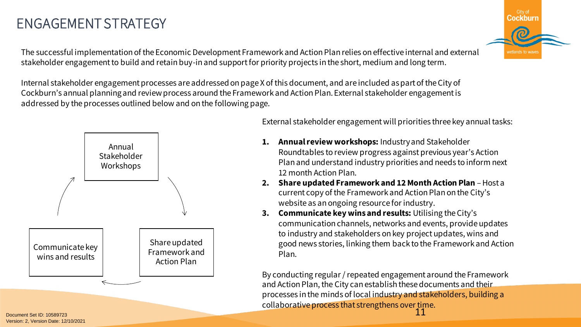Workshops Share updated Framework and Action Plan Communicate key wins and results

ENGAGEMENT STRATEGY

External stakeholder engagement will priorities three key annual tasks:

- **1. Annual review workshops:** Industry and Stakeholder Roundtables to review progress against previous year's Action Plan and understand industry priorities and needs to inform next 12 month Action Plan.
- **2.** Share updated Framework and 12 Month Action Plan Host a current copy of the Framework and Action Plan on the City's website as an ongoing resource for industry.
- **3. Communicate key wins and results:** Utilising the City's communication channels, networks and events, provide updates to industry and stakeholders on key project updates, wins and good news stories, linking them back to the Framework and Action Plan.

11 By conducting regular / repeated engagement around the Framework and Action Plan, the City can establish these documents and their processes in the minds of local industry and stakeholders, building a collaborative process that strengthens over time.

Document Set ID: 10589723<br>Version: 2. Version Date: 12/10/2021

### The successful implementation of the Economic Development Framework and Action Plan relies on effective internal and external stakeholder engagement to build and retain buy-in and support for priority projects in the short, medium and long term.

Internal stakeholder engagement processes are addressed on page X of this document, and are included as part of the City of Cockburn's annual planning and review process around the Framework and Action Plan. External stakeholder engagement is



addressed by the processes outlined below and on the following page.

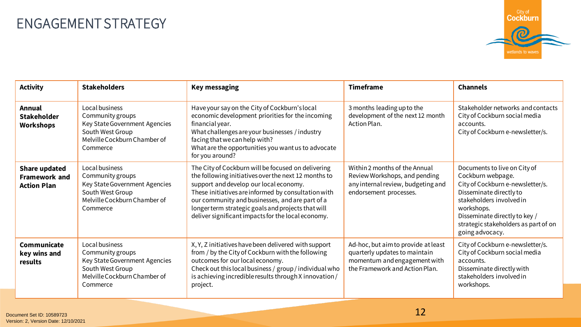## ENGAGEMENT STRATEGY



| <b>Activity</b>                                                    | <b>Stakeholders</b>                                                                                                                 | <b>Key messaging</b>                                                                                                                                                                                                                                                                                                                                                       | <b>Timeframe</b>                                                                                                                       | <b>Channels</b>                                                                                                                                                                                                                                        |
|--------------------------------------------------------------------|-------------------------------------------------------------------------------------------------------------------------------------|----------------------------------------------------------------------------------------------------------------------------------------------------------------------------------------------------------------------------------------------------------------------------------------------------------------------------------------------------------------------------|----------------------------------------------------------------------------------------------------------------------------------------|--------------------------------------------------------------------------------------------------------------------------------------------------------------------------------------------------------------------------------------------------------|
| <b>Annual</b><br><b>Stakeholder</b><br><b>Workshops</b>            | Local business<br>Community groups<br>Key State Government Agencies<br>South West Group<br>Melville Cockburn Chamber of<br>Commerce | Have your say on the City of Cockburn's local<br>economic development priorities for the incoming<br>financial year.<br>What challenges are your businesses / industry<br>facing that we can help with?<br>What are the opportunities you want us to advocate<br>for you around?                                                                                           | 3 months leading up to the<br>development of the next 12 month<br>Action Plan.                                                         | Stakeholder networks and contacts<br>City of Cockburn social media<br>accounts.<br>City of Cockburn e-newsletter/s.                                                                                                                                    |
| <b>Share updated</b><br><b>Framework and</b><br><b>Action Plan</b> | Local business<br>Community groups<br>Key State Government Agencies<br>South West Group<br>Melville Cockburn Chamber of<br>Commerce | The City of Cockburn will be focused on delivering<br>the following initiatives over the next 12 months to<br>support and develop our local economy.<br>These initiatives are informed by consultation with<br>our community and businesses, and are part of a<br>longer term strategic goals and projects that will<br>deliver significant impacts for the local economy. | Within 2 months of the Annual<br>Review Workshops, and pending<br>any internal review, budgeting and<br>endorsement processes.         | Documents to live on City of<br>Cockburn webpage.<br>City of Cockburn e-newsletter/s.<br>Disseminate directly to<br>stakeholders involved in<br>workshops.<br>Disseminate directly to key /<br>strategic stakeholders as part of on<br>going advocacy. |
| Communicate<br>key wins and<br>results                             | Local business<br>Community groups<br>Key State Government Agencies<br>South West Group<br>Melville Cockburn Chamber of<br>Commerce | X, Y, Z initiatives have been delivered with support<br>from / by the City of Cockburn with the following<br>outcomes for our local economy.<br>Check out this local business / group / individual who<br>is achieving incredible results through X innovation /<br>project.                                                                                               | Ad-hoc, but aim to provide at least<br>quarterly updates to maintain<br>momentum and engagement with<br>the Framework and Action Plan. | City of Cockburn e-newsletter/s.<br>City of Cockburn social media<br>accounts.<br>Disseminate directly with<br>stakeholders involved in<br>workshops.                                                                                                  |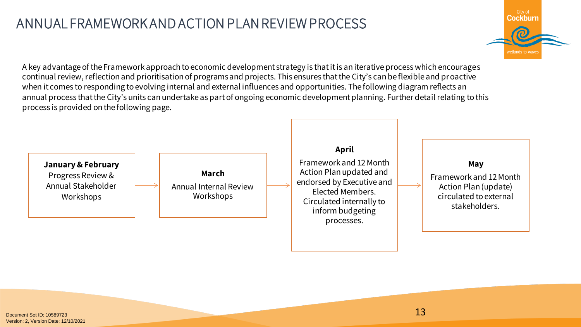### ANNUAL FRAMEWORK AND ACTION PLAN REVIEW PROCESS



A key advantage of the Framework approach to economic development strategy is that it is an iterative process which encourages continual review, reflection and prioritisation of programs and projects. This ensures that the City's can be flexible and proactive when it comes to responding to evolving internal and external influences and opportunities. The following diagram reflects an annual process that the City's units can undertake as part of ongoing economic development planning. Further detail relating to this process is provided on the following page.

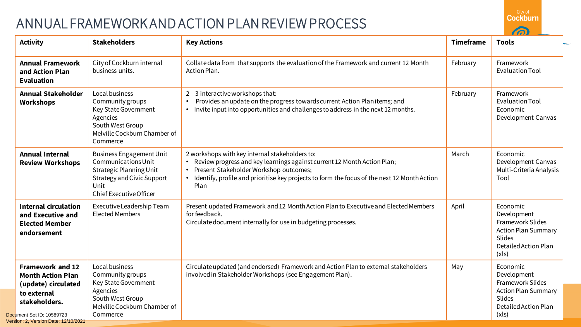## ANNUAL FRAMEWORK AND ACTION PLAN REVIEW PROCESS



| <b>Activity</b>                                                                                                                                                                 | <b>Stakeholders</b>                                                                                                                                              | <b>Key Actions</b>                                                                                                                                                                                                                                                           | <b>Timeframe</b> | <b>Tools</b>                                                                                                                       |
|---------------------------------------------------------------------------------------------------------------------------------------------------------------------------------|------------------------------------------------------------------------------------------------------------------------------------------------------------------|------------------------------------------------------------------------------------------------------------------------------------------------------------------------------------------------------------------------------------------------------------------------------|------------------|------------------------------------------------------------------------------------------------------------------------------------|
| <b>Annual Framework</b><br>and Action Plan<br><b>Evaluation</b>                                                                                                                 | City of Cockburn internal<br>business units.                                                                                                                     | Collate data from that supports the evaluation of the Framework and current 12 Month<br>Action Plan.                                                                                                                                                                         | February         | Framework<br><b>Evaluation Tool</b>                                                                                                |
| <b>Annual Stakeholder</b><br><b>Workshops</b>                                                                                                                                   | Local business<br>Community groups<br>Key State Government<br>Agencies<br>South West Group<br>Melville Cockburn Chamber of<br>Commerce                           | 2 - 3 interactive workshops that:<br>Provides an update on the progress towards current Action Planitems; and<br>Invite input into opportunities and challenges to address in the next 12 months.<br>$\bullet$                                                               | February         | Framework<br><b>Evaluation Tool</b><br>Economic<br>Development Canvas                                                              |
| <b>Annual Internal</b><br><b>Review Workshops</b>                                                                                                                               | <b>Business Engagement Unit</b><br>Communications Unit<br><b>Strategic Planning Unit</b><br>Strategy and Civic Support<br>Unit<br><b>Chief Executive Officer</b> | 2 workshops with key internal stakeholders to:<br>Review progress and key learnings against current 12 Month Action Plan;<br>Present Stakeholder Workshop outcomes;<br>• Identify, profile and prioritise key projects to form the focus of the next 12 Month Action<br>Plan | March            | Economic<br>Development Canvas<br>Multi-Criteria Analysis<br>Tool                                                                  |
| <b>Internal circulation</b><br>and Executive and<br><b>Elected Member</b><br>endorsement                                                                                        | Executive Leadership Team<br><b>Elected Members</b>                                                                                                              | Present updated Framework and 12 Month Action Plan to Executive and Elected Members<br>for feedback.<br>Circulate document internally for use in budgeting processes.                                                                                                        | April            | Economic<br>Development<br>Framework Slides<br><b>Action Plan Summary</b><br><b>Slides</b><br><b>Detailed Action Plan</b><br>(x s) |
| <b>Framework and 12</b><br><b>Month Action Plan</b><br>(update) circulated<br>to external<br>stakeholders.<br>Document Set ID: 10589723<br>Version: 2. Version Date: 12/10/2021 | Local business<br>Community groups<br>Key State Government<br>Agencies<br>South West Group<br>Melville Cockburn Chamber of<br>Commerce                           | Circulate updated (and endorsed) Framework and Action Plan to external stakeholders<br>involved in Stakeholder Workshops (see Engagement Plan).                                                                                                                              | May              | Economic<br>Development<br><b>Framework Slides</b><br><b>Action Plan Summary</b><br>Slides<br>Detailed Action Plan<br>(x s)        |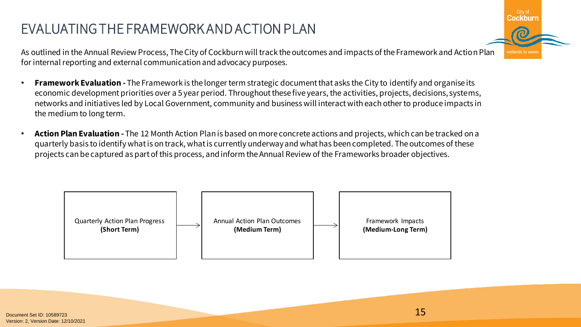## EVALUATING THE FRAMEWORK AND ACTION PLAN

City of Cockburr vetlands to way

As outlined in the Annual Review Process, The City of Cockburn will track the outcomes and impacts of the Framework and Action Plan for internal reporting and external communication and advocacy purposes.

- **Framework Evaluation -** The Framework is the longer term strategic document that asks the City to identify and organise its economic development priorities over a 5 year period. Throughout these five years, the activities, projects, decisions, systems, networks and initiatives led by Local Government, community and business will interact with each other to produce impacts in the medium to long term.
- **Action Plan Evaluation -** The 12 Month Action Plan is based on more concrete actions and projects, which can be tracked on a quarterly basis to identify what is on track, what is currently underway and what has been completed. The outcomes of these projects can be captured as part of this process, and inform the Annual Review of the Frameworks broader objectives.

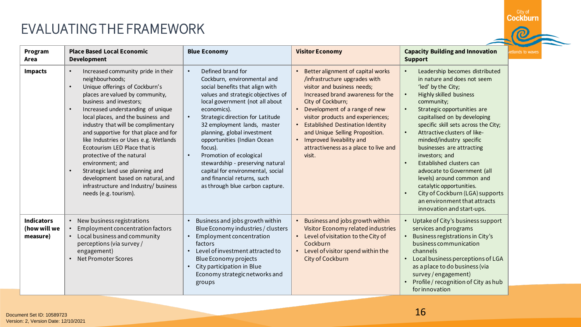### EVALUATING THE FRAMEWORK



| Program<br>Area                               | <b>Place Based Local Economic</b><br><b>Development</b>                                                                                                                                                                                                                                                                                                                                                                                                                                                                                                                                                        | <b>Blue Economy</b>                                                                                                                                                                                                                                                                                                                                                                                                                                                                                        | <b>Visitor Economy</b>                                                                                                                                                                                                                                                                                                                                                                                      | <b>Capacity Building and Innovation</b><br><b>Support</b>                                                                                                                                                                                                                                                                                                                                                                                                                                                                                                                                                                                               | etlands to w |
|-----------------------------------------------|----------------------------------------------------------------------------------------------------------------------------------------------------------------------------------------------------------------------------------------------------------------------------------------------------------------------------------------------------------------------------------------------------------------------------------------------------------------------------------------------------------------------------------------------------------------------------------------------------------------|------------------------------------------------------------------------------------------------------------------------------------------------------------------------------------------------------------------------------------------------------------------------------------------------------------------------------------------------------------------------------------------------------------------------------------------------------------------------------------------------------------|-------------------------------------------------------------------------------------------------------------------------------------------------------------------------------------------------------------------------------------------------------------------------------------------------------------------------------------------------------------------------------------------------------------|---------------------------------------------------------------------------------------------------------------------------------------------------------------------------------------------------------------------------------------------------------------------------------------------------------------------------------------------------------------------------------------------------------------------------------------------------------------------------------------------------------------------------------------------------------------------------------------------------------------------------------------------------------|--------------|
| <b>Impacts</b>                                | Increased community pride in their<br>neighbourhoods;<br>Unique offerings of Cockburn's<br>$\bullet$<br>places are valued by community,<br>business and investors;<br>Increased understanding of unique<br>local places, and the business and<br>industry that will be complimentary<br>and supportive for that place and for<br>like Industries or Uses e.g. Wetlands<br>Ecotourism LED Place that is<br>protective of the natural<br>environment; and<br>Strategic land use planning and<br>$\bullet$<br>development based on natural, and<br>infrastructure and Industry/ business<br>needs (e.g. tourism). | Defined brand for<br>Cockburn, environmental and<br>social benefits that align with<br>values and strategic objectives of<br>local government (not all about<br>economics).<br>Strategic direction for Latitude<br>$\bullet$<br>32 employment lands, master<br>planning, global investment<br>opportunities (Indian Ocean<br>focus).<br>Promotion of ecological<br>stewardship - preserving natural<br>capital for environmental, social<br>and financial returns, such<br>as through blue carbon capture. | Better alignment of capital works<br>/infrastructure upgrades with<br>visitor and business needs;<br>Increased brand awareness for the<br>City of Cockburn;<br>Development of a range of new<br>visitor products and experiences;<br><b>Established Destination Identity</b><br>and Unique Selling Proposition.<br>Improved liveability and<br>$\bullet$<br>attractiveness as a place to live and<br>visit. | Leadership becomes distributed<br>$\bullet$<br>in nature and does not seem<br>'led' by the City;<br><b>Highly skilled business</b><br>$\bullet$<br>community;<br>Strategic opportunities are<br>$\bullet$<br>capitalised on by developing<br>specific skill sets across the City;<br>Attractive clusters of like-<br>$\bullet$<br>minded/industry specific<br>businesses are attracting<br>investors; and<br>Established clusters can<br>$\bullet$<br>advocate to Government (all<br>levels) around common and<br>catalytic opportunities.<br>City of Cockburn (LGA) supports<br>$\bullet$<br>an environment that attracts<br>innovation and start-ups. |              |
| <b>Indicators</b><br>(how will we<br>measure) | New business registrations<br>Employment concentration factors<br>Local business and community<br>perceptions (via survey /<br>engagement)<br><b>Net Promoter Scores</b>                                                                                                                                                                                                                                                                                                                                                                                                                                       | Business and jobs growth within<br>Blue Economy industries / clusters<br>Employment concentration<br>factors<br>Level of investment attracted to<br>Blue Economy projects<br>City participation in Blue<br>Economy strategic networks and<br>groups                                                                                                                                                                                                                                                        | Business and jobs growth within<br>Visitor Economy related industries<br>Level of visitation to the City of<br>$\bullet$<br>Cockburn<br>• Level of visitor spend within the<br>City of Cockburn                                                                                                                                                                                                             | Uptake of City's business support<br>services and programs<br>Business registrations in City's<br>$\bullet$<br>business communication<br>channels<br>Local business perceptions of LGA<br>$\bullet$<br>as a place to do business (via<br>survey / engagement)<br>Profile / recognition of City as hub<br>for innovation                                                                                                                                                                                                                                                                                                                                 |              |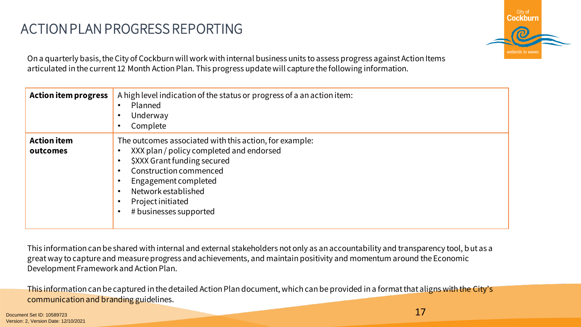## ACTION PLAN PROGRESS REPORTING



On a quarterly basis, the City of Cockburn will work with internal business units to assess progress against Action Items articulated in the current 12 Month Action Plan. This progress update will capture the following information.

| <b>Action item progress</b>    | A high level indication of the status or progress of a an action item:<br>Planned<br>$\bullet$<br>Underway<br>$\bullet$<br>Complete<br>$\bullet$                                                                                                                                                 |
|--------------------------------|--------------------------------------------------------------------------------------------------------------------------------------------------------------------------------------------------------------------------------------------------------------------------------------------------|
| <b>Action item</b><br>outcomes | The outcomes associated with this action, for example:<br>XXX plan / policy completed and endorsed<br>$\bullet$<br>\$XXX Grant funding secured<br>Construction commenced<br>$\bullet$<br>Engagement completed<br>Network established<br>$\bullet$<br>Project initiated<br># businesses supported |

This information can be shared with internal and external stakeholders not only as an accountability and transparency tool, but as a great way to capture and measure progress and achievements, and maintain positivity and momentum around the Economic Development Framework and Action Plan.

This information can be captured in the detailed Action Plan document, which can be provided in a format that aligns with the City's communication and branding guidelines.